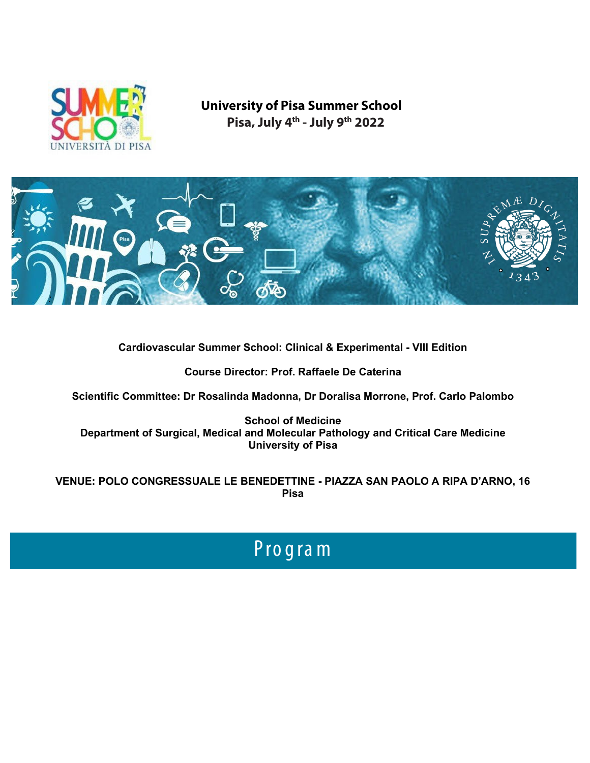

## **University of Pisa Summer School Pisa, July 4th - July 9th 2022**



**Cardiovascular Summer School: Clinical & Experimental - VIII Edition**

**Course Director: Prof. Raffaele De Caterina**

**Scientific Committee: Dr Rosalinda Madonna, Dr Doralisa Morrone, Prof. Carlo Palombo**

**School of Medicine Department of Surgical, Medical and Molecular Pathology and Critical Care Medicine University of Pisa**

**VENUE: POLO CONGRESSUALE LE BENEDETTINE - PIAZZA SAN PAOLO A RIPA D'ARNO, 16 Pisa**

# Progra m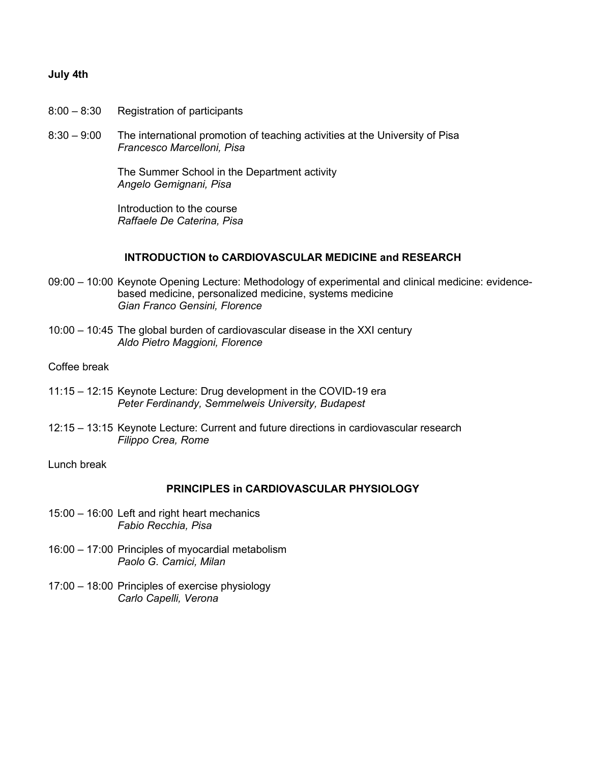#### **July 4th**

- 8:00 8:30 Registration of participants
- 8:30 9:00 The international promotion of teaching activities at the University of Pisa *Francesco Marcelloni, Pisa*

The Summer School in the Department activity *Angelo Gemignani, Pisa*

Introduction to the course *Raffaele De Caterina, Pisa*

#### **INTRODUCTION to CARDIOVASCULAR MEDICINE and RESEARCH**

- 09:00 10:00 Keynote Opening Lecture: Methodology of experimental and clinical medicine: evidencebased medicine, personalized medicine, systems medicine *Gian Franco Gensini, Florence*
- 10:00 10:45 The global burden of cardiovascular disease in the XXI century *Aldo Pietro Maggioni, Florence*

## Coffee break

- 11:15 12:15 Keynote Lecture: Drug development in the COVID-19 era *Peter Ferdinandy, Semmelweis University, Budapest*
- 12:15 13:15 Keynote Lecture: Current and future directions in cardiovascular research *Filippo Crea, Rome*

#### Lunch break

## **PRINCIPLES in CARDIOVASCULAR PHYSIOLOGY**

- 15:00 16:00 Left and right heart mechanics *Fabio Recchia, Pisa*
- 16:00 17:00 Principles of myocardial metabolism *Paolo G. Camici, Milan*
- 17:00 18:00 Principles of exercise physiology *Carlo Capelli, Verona*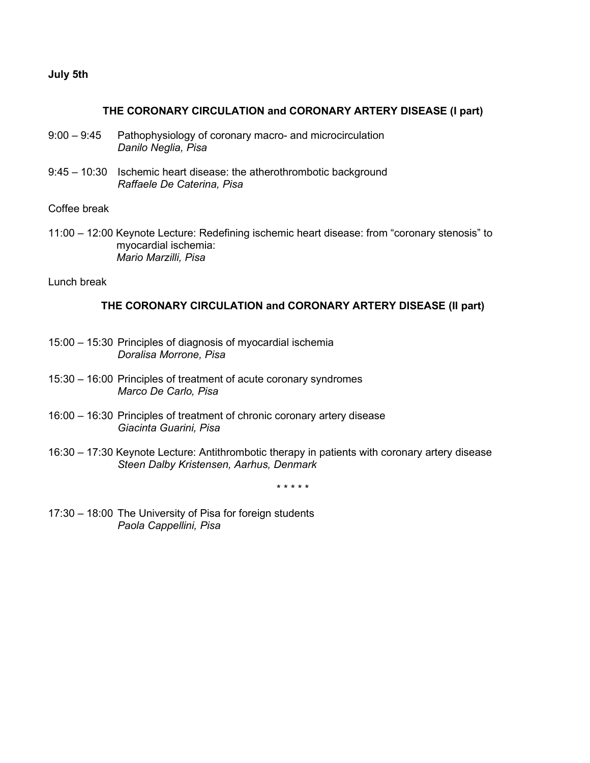## **July 5th**

#### **THE CORONARY CIRCULATION and CORONARY ARTERY DISEASE (I part)**

- 9:00 9:45 Pathophysiology of coronary macro- and microcirculation *Danilo Neglia, Pisa*
- 9:45 10:30 Ischemic heart disease: the atherothrombotic background *Raffaele De Caterina, Pisa*

Coffee break

11:00 – 12:00 Keynote Lecture: Redefining ischemic heart disease: from "coronary stenosis" to myocardial ischemia: *Mario Marzilli, Pisa*

Lunch break

## **THE CORONARY CIRCULATION and CORONARY ARTERY DISEASE (II part)**

- 15:00 15:30 Principles of diagnosis of myocardial ischemia *Doralisa Morrone, Pisa*
- 15:30 16:00 Principles of treatment of acute coronary syndromes *Marco De Carlo, Pisa*
- 16:00 16:30 Principles of treatment of chronic coronary artery disease *Giacinta Guarini, Pisa*
- 16:30 17:30 Keynote Lecture: Antithrombotic therapy in patients with coronary artery disease *Steen Dalby Kristensen, Aarhus, Denmark*

\* \* \* \* \*

17:30 – 18:00 The University of Pisa for foreign students *Paola Cappellini, Pisa*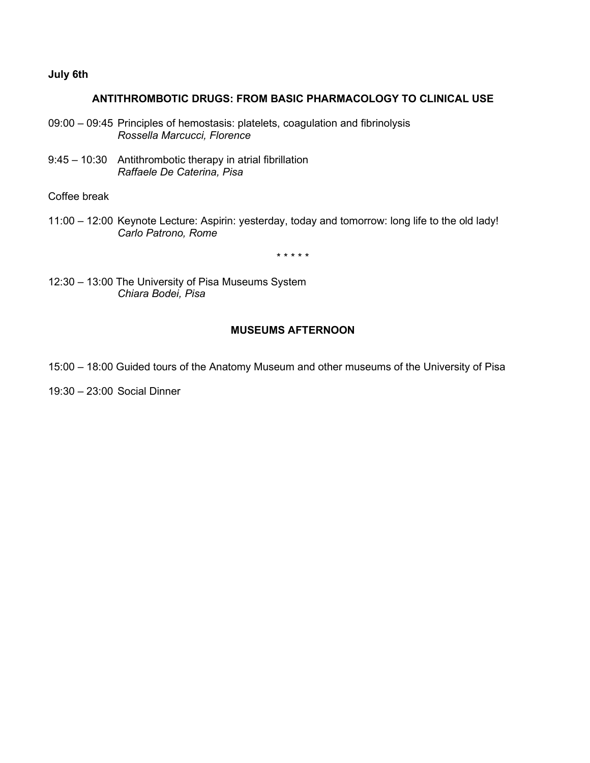## **July 6th**

## **ANTITHROMBOTIC DRUGS: FROM BASIC PHARMACOLOGY TO CLINICAL USE**

- 09:00 09:45 Principles of hemostasis: platelets, coagulation and fibrinolysis *Rossella Marcucci, Florence*
- 9:45 10:30 Antithrombotic therapy in atrial fibrillation *Raffaele De Caterina, Pisa*

Coffee break

11:00 – 12:00 Keynote Lecture: Aspirin: yesterday, today and tomorrow: long life to the old lady! *Carlo Patrono, Rome*

\* \* \* \* \*

12:30 – 13:00 The University of Pisa Museums System *Chiara Bodei, Pisa*

## **MUSEUMS AFTERNOON**

- 15:00 18:00 Guided tours of the Anatomy Museum and other museums of the University of Pisa
- 19:30 23:00 Social Dinner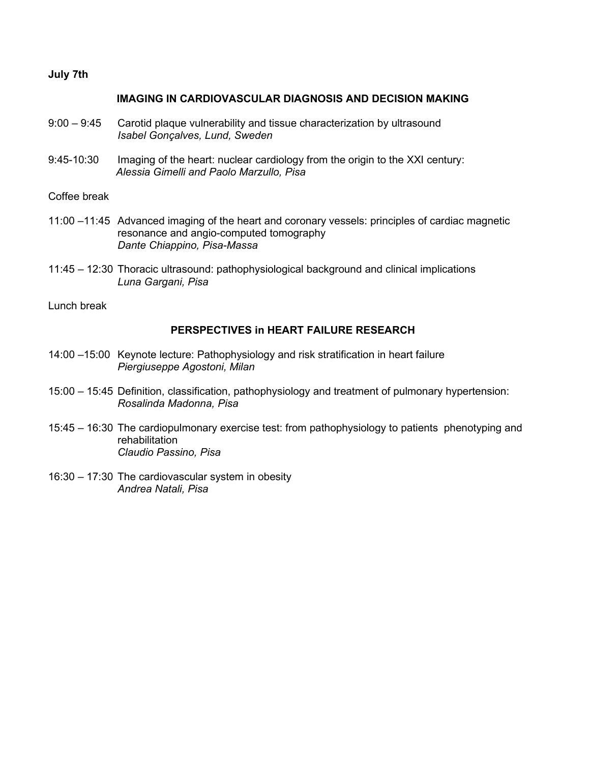## **July 7th**

#### **IMAGING IN CARDIOVASCULAR DIAGNOSIS AND DECISION MAKING**

- 9:00 9:45 Carotid plaque vulnerability and tissue characterization by ultrasound *Isabel Gonçalves, Lund, Sweden*
- 9:45-10:30 Imaging of the heart: nuclear cardiology from the origin to the XXI century: *Alessia Gimelli and Paolo Marzullo, Pisa*

Coffee break

- 11:00 –11:45 Advanced imaging of the heart and coronary vessels: principles of cardiac magnetic resonance and angio-computed tomography *Dante Chiappino, Pisa-Massa*
- 11:45 12:30 Thoracic ultrasound: pathophysiological background and clinical implications *Luna Gargani, Pisa*

Lunch break

## **PERSPECTIVES in HEART FAILURE RESEARCH**

- 14:00 –15:00 Keynote lecture: Pathophysiology and risk stratification in heart failure *Piergiuseppe Agostoni, Milan*
- 15:00 15:45 Definition, classification, pathophysiology and treatment of pulmonary hypertension: *Rosalinda Madonna, Pisa*
- 15:45 16:30 The cardiopulmonary exercise test: from pathophysiology to patients phenotyping and rehabilitation *Claudio Passino, Pisa*
- 16:30 17:30 The cardiovascular system in obesity *Andrea Natali, Pisa*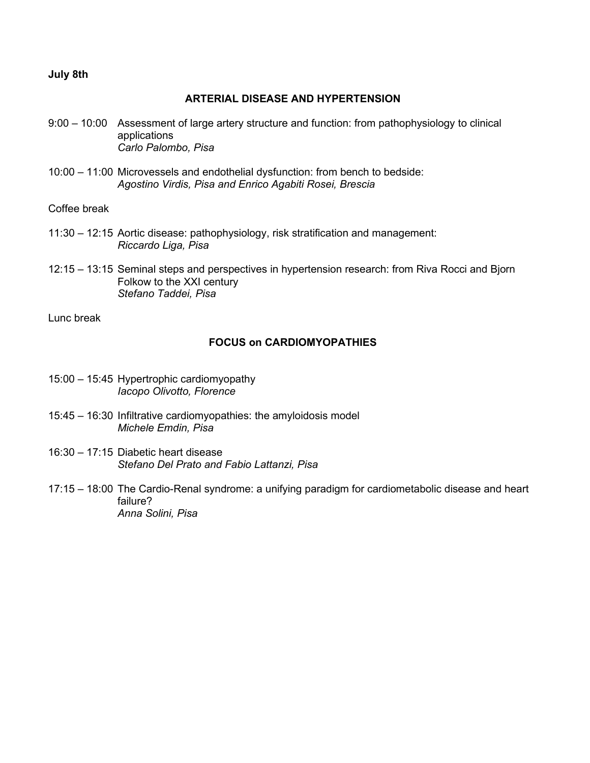## **July 8th**

## **ARTERIAL DISEASE AND HYPERTENSION**

- 9:00 10:00 Assessment of large artery structure and function: from pathophysiology to clinical applications *Carlo Palombo, Pisa*
- 10:00 11:00 Microvessels and endothelial dysfunction: from bench to bedside: *Agostino Virdis, Pisa and Enrico Agabiti Rosei, Brescia*

Coffee break

- 11:30 12:15 Aortic disease: pathophysiology, risk stratification and management: *Riccardo Liga, Pisa*
- 12:15 13:15 Seminal steps and perspectives in hypertension research: from Riva Rocci and Bjorn Folkow to the XXI century *Stefano Taddei, Pisa*

Lunc break

## **FOCUS on CARDIOMYOPATHIES**

- 15:00 15:45 Hypertrophic cardiomyopathy *Iacopo Olivotto, Florence*
- 15:45 16:30 Infiltrative cardiomyopathies: the amyloidosis model *Michele Emdin, Pisa*
- 16:30 17:15 Diabetic heart disease *Stefano Del Prato and Fabio Lattanzi, Pisa*
- 17:15 18:00 The Cardio-Renal syndrome: a unifying paradigm for cardiometabolic disease and heart failure? *Anna Solini, Pisa*